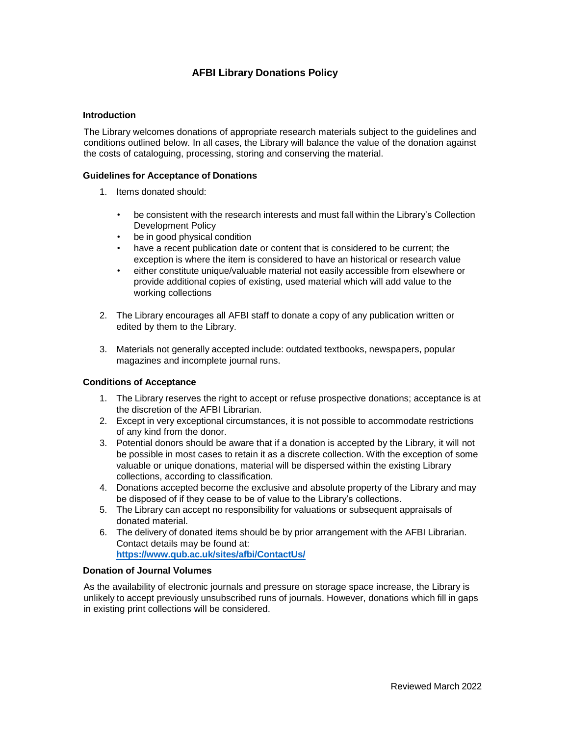# **AFBI Library Donations Policy**

### **Introduction**

The Library welcomes donations of appropriate research materials subject to the guidelines and conditions outlined below. In all cases, the Library will balance the value of the donation against the costs of cataloguing, processing, storing and conserving the material.

### **Guidelines for Acceptance of Donations**

- 1. Items donated should:
	- be consistent with the research interests and must fall within the Library's Collection Development Policy
	- be in good physical condition
	- have a recent publication date or content that is considered to be current; the exception is where the item is considered to have an historical or research value
	- either constitute unique/valuable material not easily accessible from elsewhere or provide additional copies of existing, used material which will add value to the working collections
- 2. The Library encourages all AFBI staff to donate a copy of any publication written or edited by them to the Library.
- 3. Materials not generally accepted include: outdated textbooks, newspapers, popular magazines and incomplete journal runs.

### **Conditions of Acceptance**

- 1. The Library reserves the right to accept or refuse prospective donations; acceptance is at the discretion of the AFBI Librarian.
- 2. Except in very exceptional circumstances, it is not possible to accommodate restrictions of any kind from the donor.
- 3. Potential donors should be aware that if a donation is accepted by the Library, it will not be possible in most cases to retain it as a discrete collection. With the exception of some valuable or unique donations, material will be dispersed within the existing Library collections, according to classification.
- 4. Donations accepted become the exclusive and absolute property of the Library and may be disposed of if they cease to be of value to the Library's collections.
- 5. The Library can accept no responsibility for valuations or subsequent appraisals of donated material.
- 6. The delivery of donated items should be by prior arrangement with the AFBI Librarian. Contact details may be found at: **<https://www.qub.ac.uk/sites/afbi/ContactUs/>**

# **Donation of Journal Volumes**

As the availability of electronic journals and pressure on storage space increase, the Library is unlikely to accept previously unsubscribed runs of journals. However, donations which fill in gaps in existing print collections will be considered.